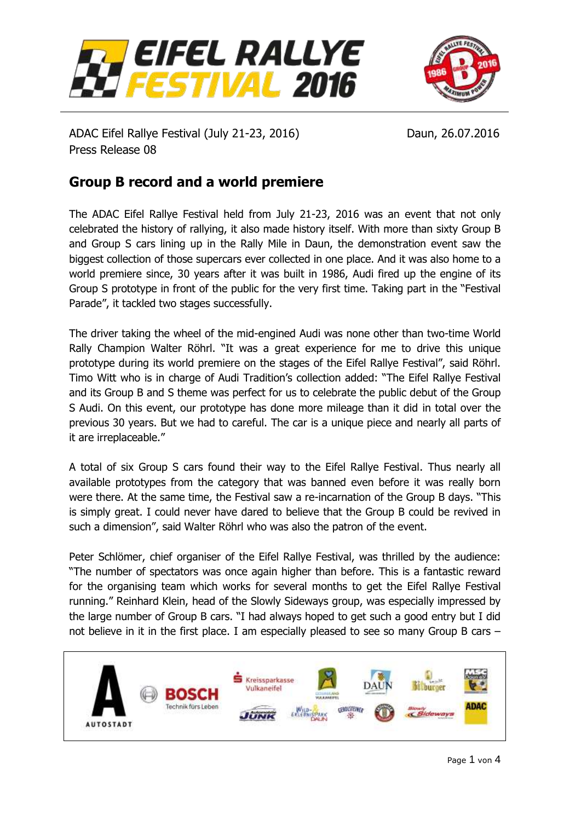



ADAC Eifel Rallye Festival (July 21-23, 2016) Daun, 26.07.2016 Press Release 08

# **Group B record and a world premiere**

The ADAC Eifel Rallye Festival held from July 21-23, 2016 was an event that not only celebrated the history of rallying, it also made history itself. With more than sixty Group B and Group S cars lining up in the Rally Mile in Daun, the demonstration event saw the biggest collection of those supercars ever collected in one place. And it was also home to a world premiere since, 30 years after it was built in 1986, Audi fired up the engine of its Group S prototype in front of the public for the very first time. Taking part in the "Festival Parade", it tackled two stages successfully.

The driver taking the wheel of the mid-engined Audi was none other than two-time World Rally Champion Walter Röhrl. "It was a great experience for me to drive this unique prototype during its world premiere on the stages of the Eifel Rallye Festival", said Röhrl. Timo Witt who is in charge of Audi Tradition's collection added: "The Eifel Rallye Festival and its Group B and S theme was perfect for us to celebrate the public debut of the Group S Audi. On this event, our prototype has done more mileage than it did in total over the previous 30 years. But we had to careful. The car is a unique piece and nearly all parts of it are irreplaceable."

A total of six Group S cars found their way to the Eifel Rallye Festival. Thus nearly all available prototypes from the category that was banned even before it was really born were there. At the same time, the Festival saw a re-incarnation of the Group B days. "This is simply great. I could never have dared to believe that the Group B could be revived in such a dimension", said Walter Röhrl who was also the patron of the event.

Peter Schlömer, chief organiser of the Eifel Rallye Festival, was thrilled by the audience: "The number of spectators was once again higher than before. This is a fantastic reward for the organising team which works for several months to get the Eifel Rallye Festival running." Reinhard Klein, head of the Slowly Sideways group, was especially impressed by the large number of Group B cars. "I had always hoped to get such a good entry but I did not believe in it in the first place. I am especially pleased to see so many Group B cars –

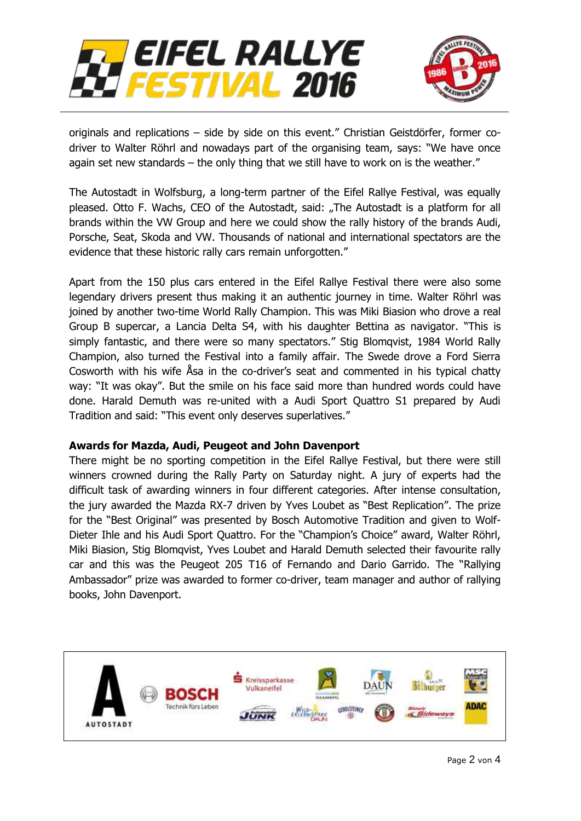



originals and replications – side by side on this event." Christian Geistdörfer, former codriver to Walter Röhrl and nowadays part of the organising team, says: "We have once again set new standards – the only thing that we still have to work on is the weather."

The Autostadt in Wolfsburg, a long-term partner of the Eifel Rallye Festival, was equally pleased. Otto F. Wachs, CEO of the Autostadt, said: "The Autostadt is a platform for all brands within the VW Group and here we could show the rally history of the brands Audi, Porsche, Seat, Skoda and VW. Thousands of national and international spectators are the evidence that these historic rally cars remain unforgotten."

Apart from the 150 plus cars entered in the Eifel Rallye Festival there were also some legendary drivers present thus making it an authentic journey in time. Walter Röhrl was joined by another two-time World Rally Champion. This was Miki Biasion who drove a real Group B supercar, a Lancia Delta S4, with his daughter Bettina as navigator. "This is simply fantastic, and there were so many spectators." Stig Blomqvist, 1984 World Rally Champion, also turned the Festival into a family affair. The Swede drove a Ford Sierra Cosworth with his wife Åsa in the co-driver's seat and commented in his typical chatty way: "It was okay". But the smile on his face said more than hundred words could have done. Harald Demuth was re-united with a Audi Sport Quattro S1 prepared by Audi Tradition and said: "This event only deserves superlatives."

#### **Awards for Mazda, Audi, Peugeot and John Davenport**

There might be no sporting competition in the Eifel Rallye Festival, but there were still winners crowned during the Rally Party on Saturday night. A jury of experts had the difficult task of awarding winners in four different categories. After intense consultation, the jury awarded the Mazda RX-7 driven by Yves Loubet as "Best Replication". The prize for the "Best Original" was presented by Bosch Automotive Tradition and given to Wolf-Dieter Ihle and his Audi Sport Quattro. For the "Champion's Choice" award, Walter Röhrl, Miki Biasion, Stig Blomqvist, Yves Loubet and Harald Demuth selected their favourite rally car and this was the Peugeot 205 T16 of Fernando and Dario Garrido. The "Rallying Ambassador" prize was awarded to former co-driver, team manager and author of rallying books, John Davenport.

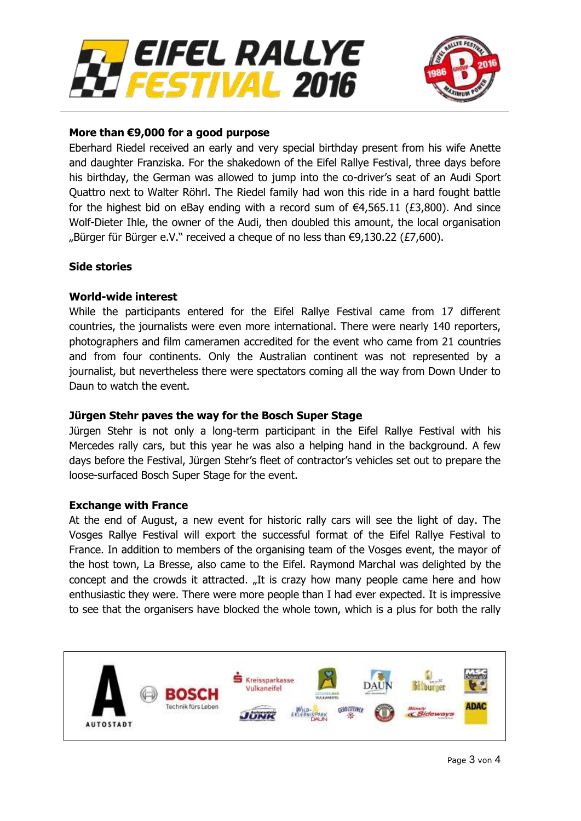



## **More than €9,000 for a good purpose**

Eberhard Riedel received an early and very special birthday present from his wife Anette and daughter Franziska. For the shakedown of the Eifel Rallye Festival, three days before his birthday, the German was allowed to jump into the co-driver's seat of an Audi Sport Quattro next to Walter Röhrl. The Riedel family had won this ride in a hard fought battle for the highest bid on eBay ending with a record sum of  $\epsilon$ 4,565.11 (£3,800). And since Wolf-Dieter Ihle, the owner of the Audi, then doubled this amount, the local organisation "Bürger für Bürger e.V." received a cheque of no less than  $\epsilon$ 9,130.22 (£7,600).

### **Side stories**

### **World-wide interest**

While the participants entered for the Eifel Rallye Festival came from 17 different countries, the journalists were even more international. There were nearly 140 reporters, photographers and film cameramen accredited for the event who came from 21 countries and from four continents. Only the Australian continent was not represented by a journalist, but nevertheless there were spectators coming all the way from Down Under to Daun to watch the event.

#### **Jürgen Stehr paves the way for the Bosch Super Stage**

Jürgen Stehr is not only a long-term participant in the Eifel Rallye Festival with his Mercedes rally cars, but this year he was also a helping hand in the background. A few days before the Festival, Jürgen Stehr's fleet of contractor's vehicles set out to prepare the loose-surfaced Bosch Super Stage for the event.

#### **Exchange with France**

At the end of August, a new event for historic rally cars will see the light of day. The Vosges Rallye Festival will export the successful format of the Eifel Rallye Festival to France. In addition to members of the organising team of the Vosges event, the mayor of the host town, La Bresse, also came to the Eifel. Raymond Marchal was delighted by the concept and the crowds it attracted. "It is crazy how many people came here and how enthusiastic they were. There were more people than I had ever expected. It is impressive to see that the organisers have blocked the whole town, which is a plus for both the rally